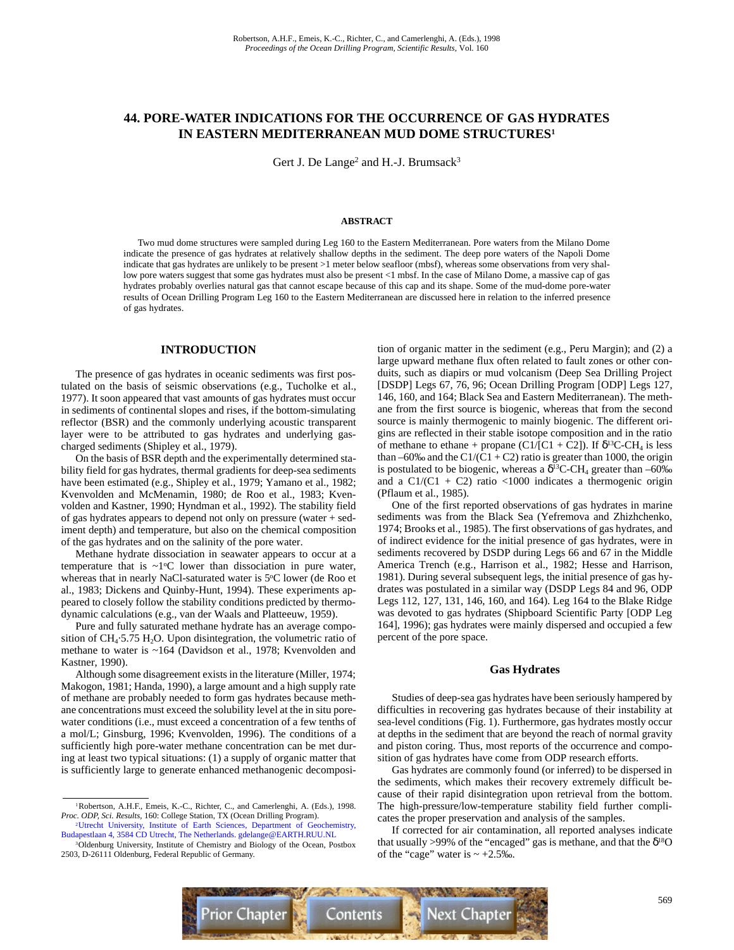# **44. PORE-WATER INDICATIONS FOR THE OCCURRENCE OF GAS HYDRATES IN EASTERN MEDITERRANEAN MUD DOME STRUCTURES1**

Gert J. De Lange<sup>2</sup> and H.-J. Brumsack<sup>3</sup>

#### **ABSTRACT**

Two mud dome structures were sampled during Leg 160 to the Eastern Mediterranean. Pore waters from the Milano Dome indicate the presence of gas hydrates at relatively shallow depths in the sediment. The deep pore waters of the Napoli Dome indicate that gas hydrates are unlikely to be present >1 meter below seafloor (mbsf), whereas some observations from very shallow pore waters suggest that some gas hydrates must also be present <1 mbsf. In the case of Milano Dome, a massive cap of gas hydrates probably overlies natural gas that cannot escape because of this cap and its shape. Some of the mud-dome pore-water results of Ocean Drilling Program Leg 160 to the Eastern Mediterranean are discussed here in relation to the inferred presence of gas hydrates.

# **INTRODUCTION**

The presence of gas hydrates in oceanic sediments was first postulated on the basis of seismic observations (e.g., Tucholke et al., 1977). It soon appeared that vast amounts of gas hydrates must occur in sediments of continental slopes and rises, if the bottom-simulating reflector (BSR) and the commonly underlying acoustic transparent layer were to be attributed to gas hydrates and underlying gascharged sediments (Shipley et al., 1979).

On the basis of BSR depth and the experimentally determined stability field for gas hydrates, thermal gradients for deep-sea sediments have been estimated (e.g., Shipley et al., 1979; Yamano et al., 1982; Kvenvolden and McMenamin, 1980; de Roo et al., 1983; Kvenvolden and Kastner, 1990; Hyndman et al., 1992). The stability field of gas hydrates appears to depend not only on pressure (water + sediment depth) and temperature, but also on the chemical composition of the gas hydrates and on the salinity of the pore water.

Methane hydrate dissociation in seawater appears to occur at a temperature that is  $\sim 1$ <sup>o</sup>C lower than dissociation in pure water, whereas that in nearly NaCl-saturated water is  $5^{\circ}$ C lower (de Roo et al., 1983; Dickens and Quinby-Hunt, 1994). These experiments appeared to closely follow the stability conditions predicted by thermodynamic calculations (e.g., van der Waals and Platteeuw, 1959).

Pure and fully saturated methane hydrate has an average composition of  $CH_4.5.75 H_2O$ . Upon disintegration, the volumetric ratio of methane to water is ~164 (Davidson et al., 1978; Kvenvolden and Kastner, 1990).

Although some disagreement exists in the literature (Miller, 1974; Makogon, 1981; Handa, 1990), a large amount and a high supply rate of methane are probably needed to form gas hydrates because methane concentrations must exceed the solubility level at the in situ porewater conditions (i.e., must exceed a concentration of a few tenths of a mol/L; Ginsburg, 1996; Kvenvolden, 1996). The conditions of a sufficiently high pore-water methane concentration can be met during at least two typical situations: (1) a supply of organic matter that is sufficiently large to generate enhanced methanogenic decomposition of organic matter in the sediment (e.g., Peru Margin); and (2) a large upward methane flux often related to fault zones or other conduits, such as diapirs or mud volcanism (Deep Sea Drilling Project [DSDP] Legs 67, 76, 96; Ocean Drilling Program [ODP] Legs 127, 146, 160, and 164; Black Sea and Eastern Mediterranean). The methane from the first source is biogenic, whereas that from the second source is mainly thermogenic to mainly biogenic. The different origins are reflected in their stable isotope composition and in the ratio of methane to ethane + propane (C1/[C1 + C2]). If  $\delta^{13}$ C-CH<sub>4</sub> is less than –60‰ and the C1/(C1 + C2) ratio is greater than 1000, the origin is postulated to be biogenic, whereas a  $\delta^{13}$ C-CH<sub>4</sub> greater than –60‰ and a  $Cl/(Cl + C2)$  ratio <1000 indicates a thermogenic origin (Pflaum et al., 1985).

One of the first reported observations of gas hydrates in marine sediments was from the Black Sea (Yefremova and Zhizhchenko, 1974; Brooks et al., 1985). The first observations of gas hydrates, and of indirect evidence for the initial presence of gas hydrates, were in sediments recovered by DSDP during Legs 66 and 67 in the Middle America Trench (e.g., Harrison et al., 1982; Hesse and Harrison, 1981). During several subsequent legs, the initial presence of gas hydrates was postulated in a similar way (DSDP Legs 84 and 96, ODP Legs 112, 127, 131, 146, 160, and 164). Leg 164 to the Blake Ridge was devoted to gas hydrates (Shipboard Scientific Party [ODP Leg 164], 1996); gas hydrates were mainly dispersed and occupied a few percent of the pore space.

### **Gas Hydrates**

Studies of deep-sea gas hydrates have been seriously hampered by difficulties in recovering gas hydrates because of their instability at sea-level conditions (Fig. 1). Furthermore, gas hydrates mostly occur at depths in the sediment that are beyond the reach of normal gravity and piston coring. Thus, most reports of the occurrence and composition of gas hydrates have come from ODP research efforts.

Gas hydrates are commonly found (or inferred) to be dispersed in the sediments, which makes their recovery extremely difficult because of their rapid disintegration upon retrieval from the bottom. The high-pressure/low-temperature stability field further complicates the proper preservation and analysis of the samples.

If corrected for air contamination, all reported analyses indicate that usually >99% of the "encaged" gas is methane, and that the  $\delta^{18}O$ of the "cage" water is  $\sim +2.5\%$ .



<sup>&</sup>lt;sup>1</sup>Robertson, A.H.F., Emeis, K.-C., Richter, C., and Camerlenghi, A. (Eds.), 1998. *Proc. ODP, Sci. Results,* 160: College Station, TX (Ocean Drilling Program).

[<sup>2</sup>Utrecht University, Institute of Earth Sciences, Department of Geochemistry,](mailto:gdelange@EARTH.RUU.NL) Budapestlaan 4, 3584 CD Utrecht, The Netherlands. gdelange@EARTH.RUU.NL

<sup>&</sup>lt;sup>3</sup>Oldenburg University, Institute of Chemistry and Biology of the Ocean, Postbox 2503, D-26111 Oldenburg, Federal Republic of Germany.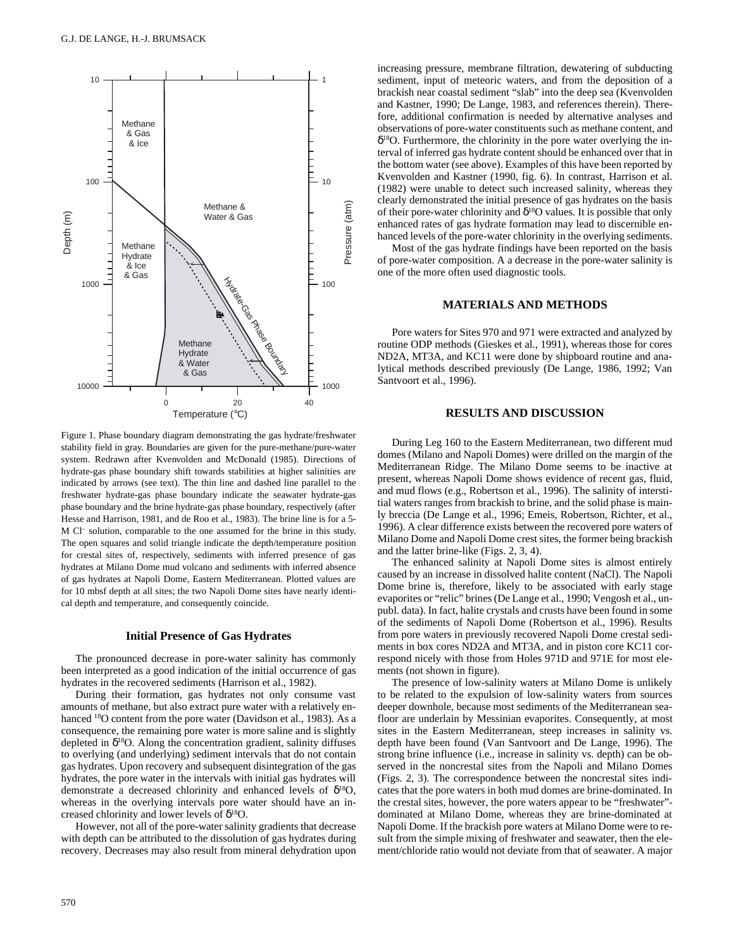

Figure 1. Phase boundary diagram demonstrating the gas hydrate/freshwater stability field in gray. Boundaries are given for the pure-methane/pure-water system. Redrawn after Kvenvolden and McDonald (1985). Directions of hydrate-gas phase boundary shift towards stabilities at higher salinities are indicated by arrows (see text). The thin line and dashed line parallel to the freshwater hydrate-gas phase boundary indicate the seawater hydrate-gas phase boundary and the brine hydrate-gas phase boundary, respectively (after Hesse and Harrison, 1981, and de Roo et al., 1983). The brine line is for a 5- M Cl– solution, comparable to the one assumed for the brine in this study. The open squares and solid triangle indicate the depth/temperature position for crestal sites of, respectively, sediments with inferred presence of gas hydrates at Milano Dome mud volcano and sediments with inferred absence of gas hydrates at Napoli Dome, Eastern Mediterranean. Plotted values are for 10 mbsf depth at all sites; the two Napoli Dome sites have nearly identical depth and temperature, and consequently coincide.

### **Initial Presence of Gas Hydrates**

The pronounced decrease in pore-water salinity has commonly been interpreted as a good indication of the initial occurrence of gas hydrates in the recovered sediments (Harrison et al., 1982).

During their formation, gas hydrates not only consume vast amounts of methane, but also extract pure water with a relatively enhanced <sup>18</sup>O content from the pore water (Davidson et al., 1983). As a consequence, the remaining pore water is more saline and is slightly depleted in  $\delta^{18}O$ . Along the concentration gradient, salinity diffuses to overlying (and underlying) sediment intervals that do not contain gas hydrates. Upon recovery and subsequent disintegration of the gas hydrates, the pore water in the intervals with initial gas hydrates will demonstrate a decreased chlorinity and enhanced levels of  $\delta^{18}O$ , whereas in the overlying intervals pore water should have an increased chlorinity and lower levels of  $\delta^{18}O$ .

However, not all of the pore-water salinity gradients that decrease with depth can be attributed to the dissolution of gas hydrates during recovery. Decreases may also result from mineral dehydration upon increasing pressure, membrane filtration, dewatering of subducting sediment, input of meteoric waters, and from the deposition of a brackish near coastal sediment "slab" into the deep sea (Kvenvolden and Kastner, 1990; De Lange, 1983, and references therein). Therefore, additional confirmation is needed by alternative analyses and observations of pore-water constituents such as methane content, and  $\delta^{18}$ O. Furthermore, the chlorinity in the pore water overlying the interval of inferred gas hydrate content should be enhanced over that in the bottom water (see above). Examples of this have been reported by Kvenvolden and Kastner (1990, fig. 6). In contrast, Harrison et al. (1982) were unable to detect such increased salinity, whereas they clearly demonstrated the initial presence of gas hydrates on the basis of their pore-water chlorinity and  $\delta^{18}$ O values. It is possible that only enhanced rates of gas hydrate formation may lead to discernible enhanced levels of the pore-water chlorinity in the overlying sediments.

Most of the gas hydrate findings have been reported on the basis of pore-water composition. A a decrease in the pore-water salinity is one of the more often used diagnostic tools.

### **MATERIALS AND METHODS**

Pore waters for Sites 970 and 971 were extracted and analyzed by routine ODP methods (Gieskes et al., 1991), whereas those for cores ND2A, MT3A, and KC11 were done by shipboard routine and analytical methods described previously (De Lange, 1986, 1992; Van Santvoort et al., 1996).

## **RESULTS AND DISCUSSION**

During Leg 160 to the Eastern Mediterranean, two different mud domes (Milano and Napoli Domes) were drilled on the margin of the Mediterranean Ridge. The Milano Dome seems to be inactive at present, whereas Napoli Dome shows evidence of recent gas, fluid, and mud flows (e.g., Robertson et al., 1996). The salinity of interstitial waters ranges from brackish to brine, and the solid phase is mainly breccia (De Lange et al., 1996; Emeis, Robertson, Richter, et al., 1996). A clear difference exists between the recovered pore waters of Milano Dome and Napoli Dome crest sites, the former being brackish and the latter brine-like (Figs. 2, 3, 4).

The enhanced salinity at Napoli Dome sites is almost entirely caused by an increase in dissolved halite content (NaCl). The Napoli Dome brine is, therefore, likely to be associated with early stage evaporites or "relic" brines (De Lange et al., 1990; Vengosh et al., unpubl. data). In fact, halite crystals and crusts have been found in some of the sediments of Napoli Dome (Robertson et al., 1996). Results from pore waters in previously recovered Napoli Dome crestal sediments in box cores ND2A and MT3A, and in piston core KC11 correspond nicely with those from Holes 971D and 971E for most elements (not shown in figure).

The presence of low-salinity waters at Milano Dome is unlikely to be related to the expulsion of low-salinity waters from sources deeper downhole, because most sediments of the Mediterranean seafloor are underlain by Messinian evaporites. Consequently, at most sites in the Eastern Mediterranean, steep increases in salinity vs. depth have been found (Van Santvoort and De Lange, 1996). The strong brine influence (i.e., increase in salinity vs. depth) can be observed in the noncrestal sites from the Napoli and Milano Domes (Figs. 2, 3). The correspondence between the noncrestal sites indicates that the pore waters in both mud domes are brine-dominated. In the crestal sites, however, the pore waters appear to be "freshwater" dominated at Milano Dome, whereas they are brine-dominated at Napoli Dome. If the brackish pore waters at Milano Dome were to result from the simple mixing of freshwater and seawater, then the element/chloride ratio would not deviate from that of seawater. A major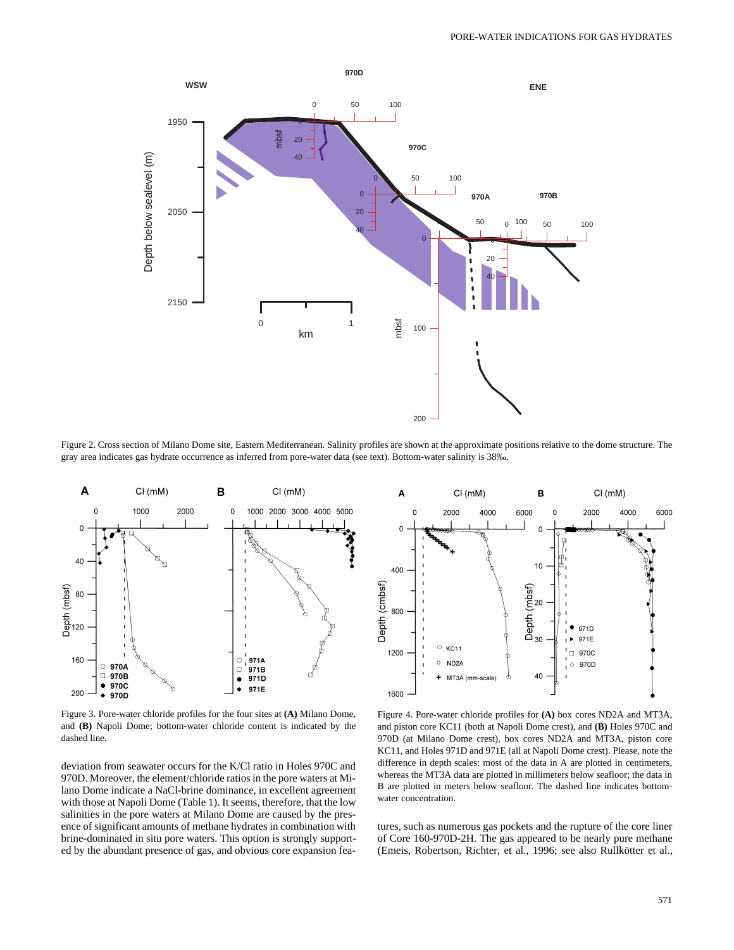

Figure 2. Cross section of Milano Dome site, Eastern Mediterranean. Salinity profiles are shown at the approximate positions relative to the dome structure. The gray area indicates gas hydrate occurrence as inferred from pore-water data (see text). Bottom-water salinity is 38‰.



Figure 3. Pore-water chloride profiles for the four sites at **(A)** Milano Dome, and **(B)** Napoli Dome; bottom-water chloride content is indicated by the dashed line.

deviation from seawater occurs for the K/Cl ratio in Holes 970C and 970D. Moreover, the element/chloride ratios in the pore waters at Milano Dome indicate a NaCl-brine dominance, in excellent agreement with those at Napoli Dome (Table 1). It seems, therefore, that the low salinities in the pore waters at Milano Dome are caused by the presence of significant amounts of methane hydrates in combination with brine-dominated in situ pore waters. This option is strongly supported by the abundant presence of gas, and obvious core expansion fea-



Figure 4. Pore-water chloride profiles for **(A)** box cores ND2A and MT3A, and piston core KC11 (both at Napoli Dome crest), and **(B)** Holes 970C and 970D (at Milano Dome crest), box cores ND2A and MT3A, piston core KC11, and Holes 971D and 971E (all at Napoli Dome crest). Please, note the difference in depth scales: most of the data in A are plotted in centimeters, whereas the MT3A data are plotted in millimeters below seafloor; the data in B are plotted in meters below seafloor. The dashed line indicates bottomwater concentration.

tures, such as numerous gas pockets and the rupture of the core liner of Core 160-970D-2H. The gas appeared to be nearly pure methane (Emeis, Robertson, Richter, et al., 1996; see also Rullkötter et al.,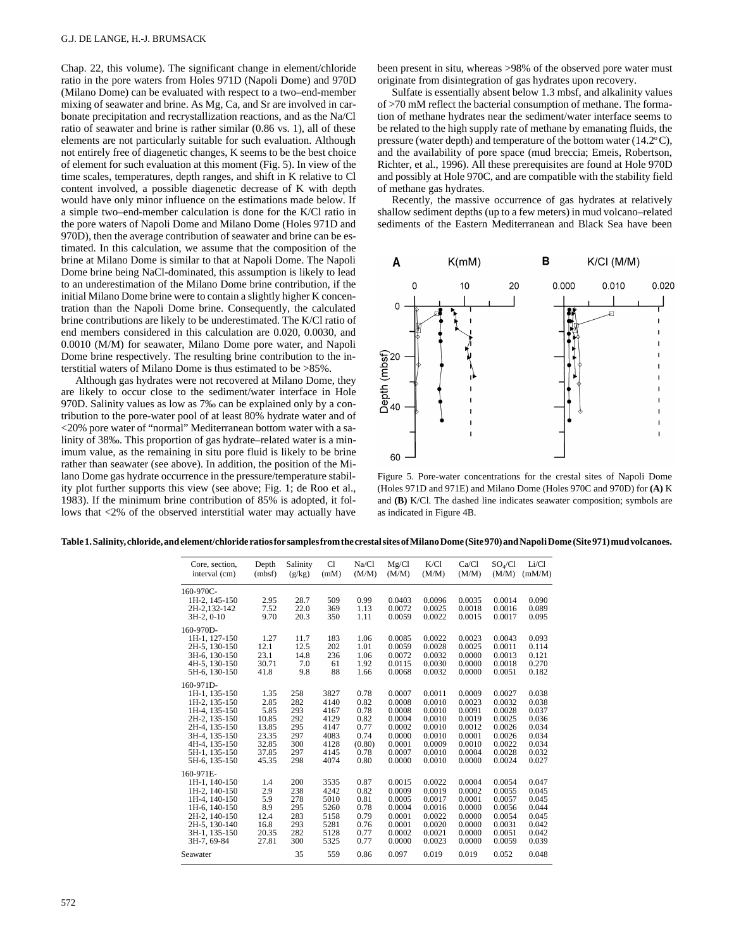Chap. 22, this volume). The significant change in element/chloride ratio in the pore waters from Holes 971D (Napoli Dome) and 970D (Milano Dome) can be evaluated with respect to a two–end-member mixing of seawater and brine. As Mg, Ca, and Sr are involved in carbonate precipitation and recrystallization reactions, and as the Na/Cl ratio of seawater and brine is rather similar (0.86 vs. 1), all of these elements are not particularly suitable for such evaluation. Although not entirely free of diagenetic changes, K seems to be the best choice of element for such evaluation at this moment (Fig. 5). In view of the time scales, temperatures, depth ranges, and shift in K relative to Cl content involved, a possible diagenetic decrease of K with depth would have only minor influence on the estimations made below. If a simple two–end-member calculation is done for the K/Cl ratio in the pore waters of Napoli Dome and Milano Dome (Holes 971D and 970D), then the average contribution of seawater and brine can be estimated. In this calculation, we assume that the composition of the brine at Milano Dome is similar to that at Napoli Dome. The Napoli Dome brine being NaCl-dominated, this assumption is likely to lead to an underestimation of the Milano Dome brine contribution, if the initial Milano Dome brine were to contain a slightly higher K concentration than the Napoli Dome brine. Consequently, the calculated brine contributions are likely to be underestimated. The K/Cl ratio of end members considered in this calculation are 0.020, 0.0030, and 0.0010 (M/M) for seawater, Milano Dome pore water, and Napoli Dome brine respectively. The resulting brine contribution to the interstitial waters of Milano Dome is thus estimated to be >85%.

Although gas hydrates were not recovered at Milano Dome, they are likely to occur close to the sediment/water interface in Hole 970D. Salinity values as low as 7‰ can be explained only by a contribution to the pore-water pool of at least 80% hydrate water and of <20% pore water of "normal" Mediterranean bottom water with a salinity of 38‰. This proportion of gas hydrate–related water is a minimum value, as the remaining in situ pore fluid is likely to be brine rather than seawater (see above). In addition, the position of the Milano Dome gas hydrate occurrence in the pressure/temperature stability plot further supports this view (see above; Fig. 1; de Roo et al., 1983). If the minimum brine contribution of 85% is adopted, it follows that <2% of the observed interstitial water may actually have been present in situ, whereas >98% of the observed pore water must originate from disintegration of gas hydrates upon recovery.

Sulfate is essentially absent below 1.3 mbsf, and alkalinity values of >70 mM reflect the bacterial consumption of methane. The formation of methane hydrates near the sediment/water interface seems to be related to the high supply rate of methane by emanating fluids, the pressure (water depth) and temperature of the bottom water  $(14.2^{\circ}C)$ , and the availability of pore space (mud breccia; Emeis, Robertson, Richter, et al., 1996). All these prerequisites are found at Hole 970D and possibly at Hole 970C, and are compatible with the stability field of methane gas hydrates.

Recently, the massive occurrence of gas hydrates at relatively shallow sediment depths (up to a few meters) in mud volcano–related sediments of the Eastern Mediterranean and Black Sea have been



Figure 5. Pore-water concentrations for the crestal sites of Napoli Dome (Holes 971D and 971E) and Milano Dome (Holes 970C and 970D) for **(A)** K and **(B)** K/Cl. The dashed line indicates seawater composition; symbols are as indicated in Figure 4B.

| Core, section,<br>interval (cm) | Depth<br>(mbf) | Salinity<br>(g/kg) | C1<br>(mM) | Na/Cl<br>(M/M) | Mg/C1<br>(M/M) | K/C1<br>(M/M) | Ca/C1<br>(M/M) | $SO_4/C1$<br>(M/M) | Li/Cl<br>(mM/M) |
|---------------------------------|----------------|--------------------|------------|----------------|----------------|---------------|----------------|--------------------|-----------------|
| $160-970C -$                    |                |                    |            |                |                |               |                |                    |                 |
| 1H-2, 145-150                   | 2.95           | 28.7               | 509        | 0.99           | 0.0403         | 0.0096        | 0.0035         | 0.0014             | 0.090           |
| 2H-2.132-142                    | 7.52           | 22.0               | 369        | 1.13           | 0.0072         | 0.0025        | 0.0018         | 0.0016             | 0.089           |
| 3H-2, 0-10                      | 9.70           | 20.3               | 350        | 1.11           | 0.0059         | 0.0022        | 0.0015         | 0.0017             | 0.095           |
| 160-970D-                       |                |                    |            |                |                |               |                |                    |                 |
| 1H-1, 127-150                   | 1.27           | 11.7               | 183        | 1.06           | 0.0085         | 0.0022        | 0.0023         | 0.0043             | 0.093           |
| 2H-5, 130-150                   | 12.1           | 12.5               | 202        | 1.01           | 0.0059         | 0.0028        | 0.0025         | 0.0011             | 0.114           |
| 3H-6, 130-150                   | 23.1           | 14.8               | 236        | 1.06           | 0.0072         | 0.0032        | 0.0000         | 0.0013             | 0.121           |
| 4H-5, 130-150                   | 30.71          | 7.0                | 61         | 1.92           | 0.0115         | 0.0030        | 0.0000         | 0.0018             | 0.270           |
| 5H-6, 130-150                   | 41.8           | 9.8                | 88         | 1.66           | 0.0068         | 0.0032        | 0.0000         | 0.0051             | 0.182           |
| $160-971D$ -                    |                |                    |            |                |                |               |                |                    |                 |
| 1H-1, 135-150                   | 1.35           | 258                | 3827       | 0.78           | 0.0007         | 0.0011        | 0.0009         | 0.0027             | 0.038           |
| 1H-2, 135-150                   | 2.85           | 282                | 4140       | 0.82           | 0.0008         | 0.0010        | 0.0023         | 0.0032             | 0.038           |
| 1H-4, 135-150                   | 5.85           | 293                | 4167       | 0.78           | 0.0008         | 0.0010        | 0.0091         | 0.0028             | 0.037           |
| 2H-2, 135-150                   | 10.85          | 292                | 4129       | 0.82           | 0.0004         | 0.0010        | 0.0019         | 0.0025             | 0.036           |
| 2H-4, 135-150                   | 13.85          | 295                | 4147       | 0.77           | 0.0002         | 0.0010        | 0.0012         | 0.0026             | 0.034           |
| 3H-4, 135-150                   | 23.35          | 297                | 4083       | 0.74           | 0.0000         | 0.0010        | 0.0001         | 0.0026             | 0.034           |
| 4H-4, 135-150                   | 32.85          | 300                | 4128       | (0.80)         | 0.0001         | 0.0009        | 0.0010         | 0.0022             | 0.034           |
| 5H-1, 135-150                   | 37.85          | 297                | 4145       | 0.78           | 0.0007         | 0.0010        | 0.0004         | 0.0028             | 0.032           |
| 5H-6, 135-150                   | 45.35          | 298                | 4074       | 0.80           | 0.0000         | 0.0010        | 0.0000         | 0.0024             | 0.027           |
| 160-971E-                       |                |                    |            |                |                |               |                |                    |                 |
| 1H-1, 140-150                   | 1.4            | 200                | 3535       | 0.87           | 0.0015         | 0.0022        | 0.0004         | 0.0054             | 0.047           |
| 1H-2, 140-150                   | 2.9            | 238                | 4242       | 0.82           | 0.0009         | 0.0019        | 0.0002         | 0.0055             | 0.045           |
| 1H-4, 140-150                   | 5.9            | 278                | 5010       | 0.81           | 0.0005         | 0.0017        | 0.0001         | 0.0057             | 0.045           |
| 1H-6, 140-150                   | 8.9            | 295                | 5260       | 0.78           | 0.0004         | 0.0016        | 0.0000         | 0.0056             | 0.044           |
| 2H-2, 140-150                   | 12.4           | 283                | 5158       | 0.79           | 0.0001         | 0.0022        | 0.0000         | 0.0054             | 0.045           |
| 2H-5, 130-140                   | 16.8           | 293                | 5281       | 0.76           | 0.0001         | 0.0020        | 0.0000         | 0.0031             | 0.042           |
| 3H-1, 135-150                   | 20.35          | 282                | 5128       | 0.77           | 0.0002         | 0.0021        | 0.0000         | 0.0051             | 0.042           |
| 3H-7, 69-84                     | 27.81          | 300                | 5325       | 0.77           | 0.0000         | 0.0023        | 0.0000         | 0.0059             | 0.039           |
| Seawater                        |                | 35                 | 559        | 0.86           | 0.097          | 0.019         | 0.019          | 0.052              | 0.048           |

**Table 1. Salinity, chloride, and element/chloride ratios for samples from the crestal sites of Milano Dome (Site 970) and Napoli Dome (Site 971) mud volcanoes.**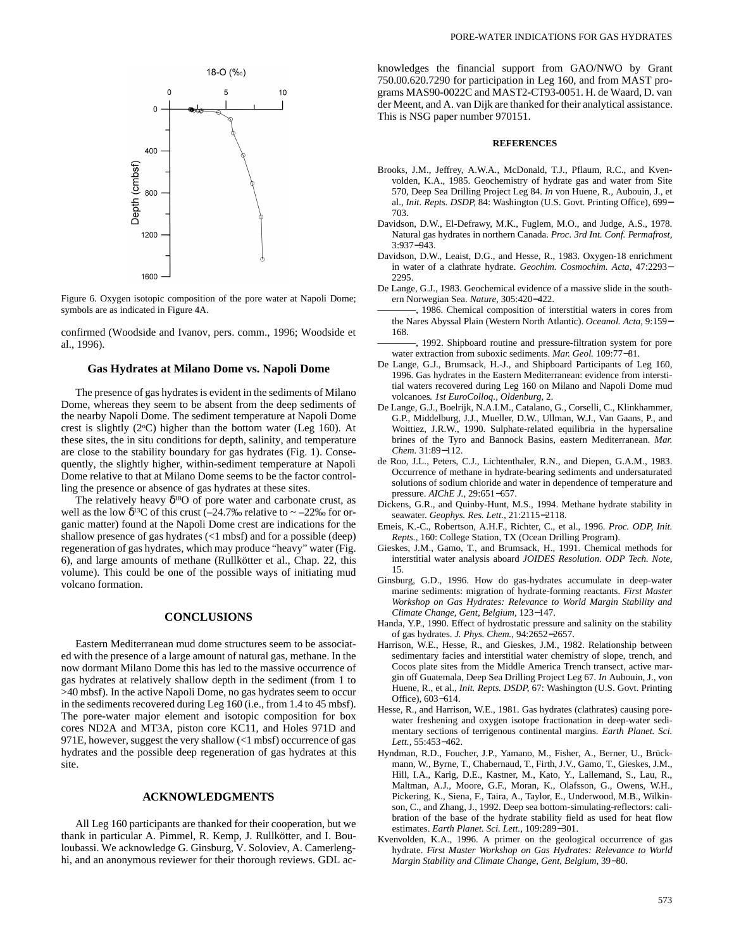

Figure 6. Oxygen isotopic composition of the pore water at Napoli Dome; symbols are as indicated in Figure 4A.

confirmed (Woodside and Ivanov, pers. comm., 1996; Woodside et al., 1996).

### **Gas Hydrates at Milano Dome vs. Napoli Dome**

The presence of gas hydrates is evident in the sediments of Milano Dome, whereas they seem to be absent from the deep sediments of the nearby Napoli Dome. The sediment temperature at Napoli Dome crest is slightly  $(2^{\circ}C)$  higher than the bottom water (Leg 160). At these sites, the in situ conditions for depth, salinity, and temperature are close to the stability boundary for gas hydrates (Fig. 1). Consequently, the slightly higher, within-sediment temperature at Napoli Dome relative to that at Milano Dome seems to be the factor controlling the presence or absence of gas hydrates at these sites.

The relatively heavy  $\delta^{18}O$  of pore water and carbonate crust, as well as the low  $\delta^{13}$ C of this crust (–24.7‰ relative to ~ –22‰ for organic matter) found at the Napoli Dome crest are indications for the shallow presence of gas hydrates (<1 mbsf) and for a possible (deep) regeneration of gas hydrates, which may produce "heavy" water (Fig. 6), and large amounts of methane (Rullkötter et al., Chap. 22, this volume). This could be one of the possible ways of initiating mud volcano formation.

## **CONCLUSIONS**

Eastern Mediterranean mud dome structures seem to be associated with the presence of a large amount of natural gas, methane. In the now dormant Milano Dome this has led to the massive occurrence of gas hydrates at relatively shallow depth in the sediment (from 1 to >40 mbsf). In the active Napoli Dome, no gas hydrates seem to occur in the sediments recovered during Leg 160 (i.e., from 1.4 to 45 mbsf). The pore-water major element and isotopic composition for box cores ND2A and MT3A, piston core KC11, and Holes 971D and 971E, however, suggest the very shallow (<1 mbsf) occurrence of gas hydrates and the possible deep regeneration of gas hydrates at this site.

### **ACKNOWLEDGMENTS**

All Leg 160 participants are thanked for their cooperation, but we thank in particular A. Pimmel, R. Kemp, J. Rullkötter, and I. Bouloubassi. We acknowledge G. Ginsburg, V. Soloviev, A. Camerlenghi, and an anonymous reviewer for their thorough reviews. GDL acknowledges the financial support from GAO/NWO by Grant 750.00.620.7290 for participation in Leg 160, and from MAST programs MAS90-0022C and MAST2-CT93-0051. H. de Waard, D. van der Meent, and A. van Dijk are thanked for their analytical assistance. This is NSG paper number 970151.

### **REFERENCES**

- Brooks, J.M., Jeffrey, A.W.A., McDonald, T.J., Pflaum, R.C., and Kvenvolden, K.A., 1985. Geochemistry of hydrate gas and water from Site 570, Deep Sea Drilling Project Leg 84. *In* von Huene, R., Aubouin, J., et al., *Init. Repts. DSDP,* 84: Washington (U.S. Govt. Printing Office), 699− 703.
- Davidson, D.W., El-Defrawy, M.K., Fuglem, M.O., and Judge, A.S., 1978. Natural gas hydrates in northern Canada. *Proc. 3rd Int. Conf. Permafrost,* 3:937−943.
- Davidson, D.W., Leaist, D.G., and Hesse, R., 1983. Oxygen-18 enrichment in water of a clathrate hydrate. *Geochim. Cosmochim. Acta,* 47:2293− 2295.
- De Lange, G.J., 1983. Geochemical evidence of a massive slide in the southern Norwegian Sea. *Nature,* 305:420−422.
- 1986. Chemical composition of interstitial waters in cores from the Nares Abyssal Plain (Western North Atlantic). *Oceanol. Acta,* 9:159− 168.
- -, 1992. Shipboard routine and pressure-filtration system for pore water extraction from suboxic sediments. *Mar. Geol.* 109:77−81.
- De Lange, G.J., Brumsack, H.-J., and Shipboard Participants of Leg 160, 1996. Gas hydrates in the Eastern Mediterranean: evidence from interstitial waters recovered during Leg 160 on Milano and Napoli Dome mud volcanoes*. 1st EuroColloq., Oldenburg,* 2.
- De Lange, G.J., Boelrijk, N.A.I.M., Catalano, G., Corselli, C., Klinkhammer, G.P., Middelburg, J.J., Mueller, D.W., Ullman, W.J., Van Gaans, P., and Woittiez, J.R.W., 1990. Sulphate-related equilibria in the hypersaline brines of the Tyro and Bannock Basins, eastern Mediterranean. *Mar. Chem.* 31:89−112.
- de Roo, J.L., Peters, C.J., Lichtenthaler, R.N., and Diepen, G.A.M., 1983. Occurrence of methane in hydrate-bearing sediments and undersaturated solutions of sodium chloride and water in dependence of temperature and pressure. *AIChE J.,* 29:651−657.
- Dickens, G.R., and Quinby-Hunt, M.S., 1994. Methane hydrate stability in seawater. *Geophys. Res. Lett.,* 21:2115−2118.
- Emeis, K.-C., Robertson, A.H.F., Richter, C., et al., 1996. *Proc. ODP, Init. Repts.,* 160: College Station, TX (Ocean Drilling Program).
- Gieskes, J.M., Gamo, T., and Brumsack, H., 1991. Chemical methods for interstitial water analysis aboard *JOIDES Resolution. ODP Tech. Note,* 15.
- Ginsburg, G.D., 1996. How do gas-hydrates accumulate in deep-water marine sediments: migration of hydrate-forming reactants. *First Master Workshop on Gas Hydrates: Relevance to World Margin Stability and Climate Change, Gent, Belgium,* 123−147.
- Handa, Y.P., 1990. Effect of hydrostatic pressure and salinity on the stability of gas hydrates. *J. Phys. Chem.,* 94:2652−2657.
- Harrison, W.E., Hesse, R., and Gieskes, J.M., 1982. Relationship between sedimentary facies and interstitial water chemistry of slope, trench, and Cocos plate sites from the Middle America Trench transect, active margin off Guatemala, Deep Sea Drilling Project Leg 67. *In* Aubouin, J., von Huene, R., et al., *Init. Repts. DSDP,* 67: Washington (U.S. Govt. Printing Office), 603−614.
- Hesse, R., and Harrison, W.E., 1981. Gas hydrates (clathrates) causing porewater freshening and oxygen isotope fractionation in deep-water sedimentary sections of terrigenous continental margins. *Earth Planet. Sci. Lett.,* 55:453−462.
- Hyndman, R.D., Foucher, J.P., Yamano, M., Fisher, A., Berner, U., Brückmann, W., Byrne, T., Chabernaud, T., Firth, J.V., Gamo, T., Gieskes, J.M., Hill, I.A., Karig, D.E., Kastner, M., Kato, Y., Lallemand, S., Lau, R., Maltman, A.J., Moore, G.F., Moran, K., Olafsson, G., Owens, W.H., Pickering, K., Siena, F., Taira, A., Taylor, E., Underwood, M.B., Wilkinson, C., and Zhang, J., 1992. Deep sea bottom-simulating-reflectors: calibration of the base of the hydrate stability field as used for heat flow estimates. *Earth Planet. Sci. Lett.,* 109:289−301.
- Kvenvolden, K.A., 1996. A primer on the geological occurrence of gas hydrate. *First Master Workshop on Gas Hydrates: Relevance to World Margin Stability and Climate Change, Gent, Belgium,* 39−80.